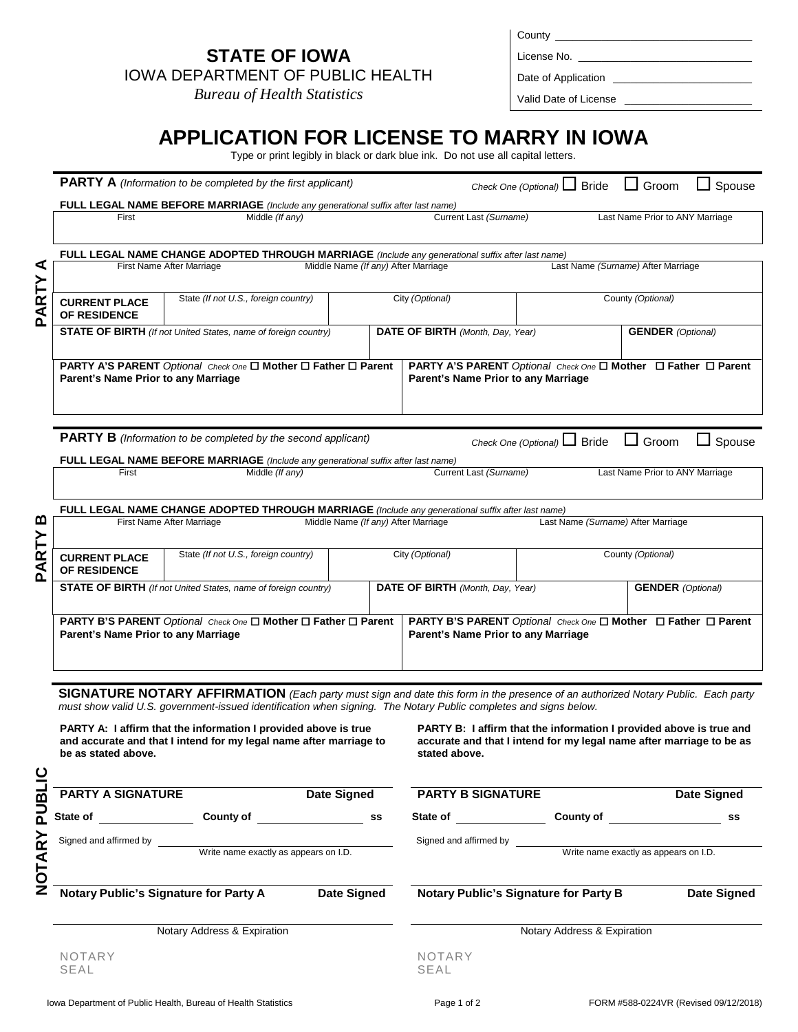# **STATE OF IOWA**

*Bureau of Health Statistics*

| County      |  |
|-------------|--|
| License No. |  |

Date of Application \_

Valid Date of License

# **APPLICATION FOR LICENSE TO MARRY IN IOWA**

Type or print legibly in black or dark blue ink. Do not use all capital letters.

|        |                                                                                                   | <b>PARTY A</b> (Information to be completed by the first applicant)                                                                                                                                                                                  |                                     |                   |                                     |                        | Check One (Optional) I Bride          |  | $\Box$ Groom                                                                                                                                | $\Box$ Spouse      |
|--------|---------------------------------------------------------------------------------------------------|------------------------------------------------------------------------------------------------------------------------------------------------------------------------------------------------------------------------------------------------------|-------------------------------------|-------------------|-------------------------------------|------------------------|---------------------------------------|--|---------------------------------------------------------------------------------------------------------------------------------------------|--------------------|
|        |                                                                                                   | <b>FULL LEGAL NAME BEFORE MARRIAGE</b> (Include any generational suffix after last name)                                                                                                                                                             |                                     |                   |                                     |                        |                                       |  |                                                                                                                                             |                    |
|        | Current Last (Surname)<br>Last Name Prior to ANY Marriage<br>Middle (If any)<br>First             |                                                                                                                                                                                                                                                      |                                     |                   |                                     |                        |                                       |  |                                                                                                                                             |                    |
|        | FULL LEGAL NAME CHANGE ADOPTED THROUGH MARRIAGE (Include any generational suffix after last name) |                                                                                                                                                                                                                                                      |                                     |                   |                                     |                        |                                       |  |                                                                                                                                             |                    |
| ⋖      |                                                                                                   | First Name After Marriage                                                                                                                                                                                                                            | Middle Name (If any) After Marriage |                   |                                     |                        |                                       |  | Last Name (Surname) After Marriage                                                                                                          |                    |
| PARTY  | State (If not U.S., foreign country)<br><b>CURRENT PLACE</b><br>OF RESIDENCE                      |                                                                                                                                                                                                                                                      |                                     | City (Optional)   |                                     |                        | County (Optional)                     |  |                                                                                                                                             |                    |
|        |                                                                                                   | <b>STATE OF BIRTH</b> (If not United States, name of foreign country)                                                                                                                                                                                |                                     |                   | DATE OF BIRTH (Month, Day, Year)    |                        |                                       |  | <b>GENDER</b> (Optional)                                                                                                                    |                    |
|        | Parent's Name Prior to any Marriage                                                               | <b>PARTY A'S PARENT</b> Optional Check One <b>□ Mother □ Father □ Parent</b>                                                                                                                                                                         |                                     |                   | Parent's Name Prior to any Marriage |                        |                                       |  | <b>PARTY A'S PARENT</b> Optional Check One <b>□ Mother</b> □ Father □ Parent                                                                |                    |
|        |                                                                                                   | <b>PARTY B</b> (Information to be completed by the second applicant)                                                                                                                                                                                 |                                     |                   |                                     |                        | Check One (Optional) I Bride          |  | Groom                                                                                                                                       | Spouse             |
|        | First                                                                                             | <b>FULL LEGAL NAME BEFORE MARRIAGE</b> (Include any generational suffix after last name)<br>Middle (If any)                                                                                                                                          |                                     |                   |                                     | Current Last (Surname) |                                       |  | Last Name Prior to ANY Marriage                                                                                                             |                    |
|        | FULL LEGAL NAME CHANGE ADOPTED THROUGH MARRIAGE (Include any generational suffix after last name) |                                                                                                                                                                                                                                                      |                                     |                   |                                     |                        |                                       |  |                                                                                                                                             |                    |
| മ      |                                                                                                   | First Name After Marriage                                                                                                                                                                                                                            | Middle Name (If any) After Marriage |                   |                                     |                        |                                       |  | Last Name (Surname) After Marriage                                                                                                          |                    |
| PARTY  | <b>CURRENT PLACE</b><br>OF RESIDENCE                                                              | State (If not U.S., foreign country)<br>City (Optional)                                                                                                                                                                                              |                                     | County (Optional) |                                     |                        |                                       |  |                                                                                                                                             |                    |
|        |                                                                                                   | <b>STATE OF BIRTH</b> (If not United States, name of foreign country)                                                                                                                                                                                |                                     |                   | DATE OF BIRTH (Month, Day, Year)    |                        |                                       |  | <b>GENDER</b> (Optional)                                                                                                                    |                    |
|        | Parent's Name Prior to any Marriage                                                               | PARTY B'S PARENT Optional Check One □ Mother □ Father □ Parent                                                                                                                                                                                       |                                     |                   | Parent's Name Prior to any Marriage |                        |                                       |  | PARTY B'S PARENT Optional Check One □ Mother □ Father □ Parent                                                                              |                    |
|        |                                                                                                   |                                                                                                                                                                                                                                                      |                                     |                   |                                     |                        |                                       |  |                                                                                                                                             |                    |
|        |                                                                                                   | SIGNATURE NOTARY AFFIRMATION (Each party must sign and date this form in the presence of an authorized Notary Public. Each party<br>must show valid U.S. government-issued identification when signing. The Notary Public completes and signs below. |                                     |                   |                                     |                        |                                       |  |                                                                                                                                             |                    |
|        | be as stated above.                                                                               | PARTY A: I affirm that the information I provided above is true<br>and accurate and that I intend for my legal name after marriage to                                                                                                                |                                     |                   | stated above.                       |                        |                                       |  | PARTY B: I affirm that the information I provided above is true and<br>accurate and that I intend for my legal name after marriage to be as |                    |
| PUBLIC | <b>PARTY A SIGNATURE</b>                                                                          |                                                                                                                                                                                                                                                      | Date Signed PARTY B SIGNATURE       |                   |                                     |                        |                                       |  |                                                                                                                                             | <b>Date Signed</b> |
|        |                                                                                                   | State of County of State of State of State of State of State of State of State of State of State of State of State of State of State of State of State of State of State of State of State of State of State of State of State                       |                                     |                   | State of the state of the state of  |                        |                                       |  | County of <u>counts</u>                                                                                                                     | SS                 |
|        | Signed and affirmed by                                                                            |                                                                                                                                                                                                                                                      |                                     |                   | Signed and affirmed by              |                        |                                       |  |                                                                                                                                             |                    |
| NOTARY | Write name exactly as appears on I.D.<br>Write name exactly as appears on I.D.                    |                                                                                                                                                                                                                                                      |                                     |                   |                                     |                        |                                       |  |                                                                                                                                             |                    |
|        |                                                                                                   | Notary Public's Signature for Party A Date Signed                                                                                                                                                                                                    |                                     |                   |                                     |                        | Notary Public's Signature for Party B |  |                                                                                                                                             | <b>Date Signed</b> |
|        |                                                                                                   | Notary Address & Expiration                                                                                                                                                                                                                          |                                     |                   |                                     |                        | Notary Address & Expiration           |  |                                                                                                                                             |                    |
|        | <b>NOTARY</b><br>SEAL                                                                             |                                                                                                                                                                                                                                                      |                                     |                   | <b>NOTARY</b><br>SEAL               |                        |                                       |  |                                                                                                                                             |                    |
|        |                                                                                                   |                                                                                                                                                                                                                                                      |                                     |                   |                                     |                        |                                       |  |                                                                                                                                             |                    |